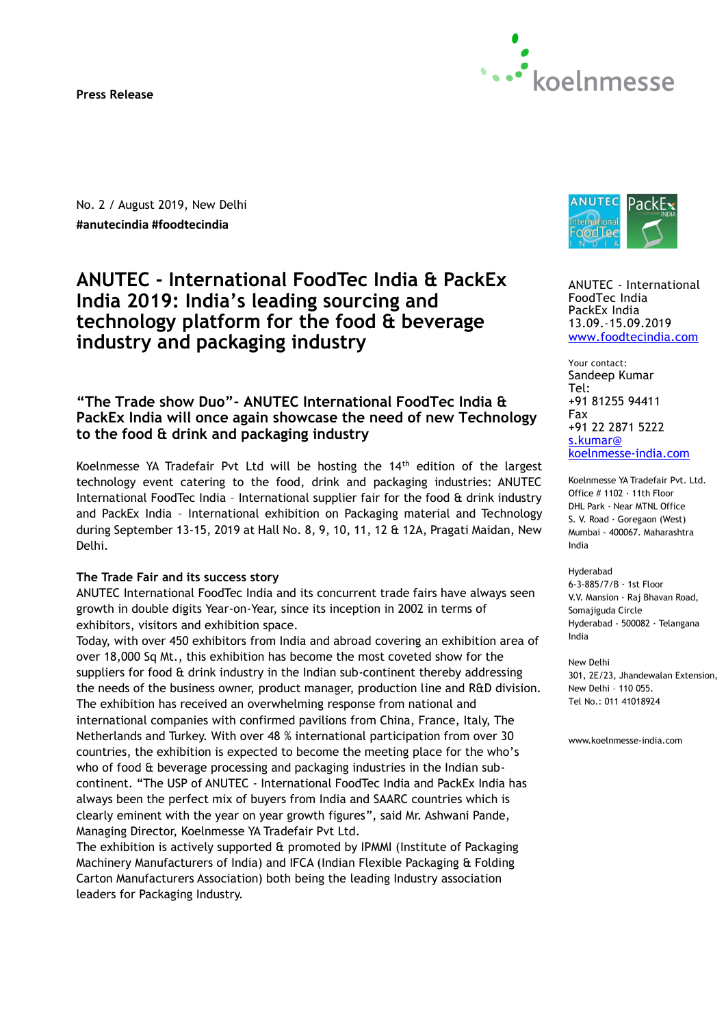**Press Release** 



No. 2 / August 2019, New Delhi **#anutecindia #foodtecindia** 

# **ANUTEC - International FoodTec India & PackEx India 2019: India's leading sourcing and technology platform for the food & beverage industry and packaging industry**

# **"The Trade show Duo"- ANUTEC International FoodTec India & PackEx India will once again showcase the need of new Technology to the food & drink and packaging industry**

Koelnmesse YA Tradefair Pvt Ltd will be hosting the 14<sup>th</sup> edition of the largest technology event catering to the food, drink and packaging industries: ANUTEC International FoodTec India – International supplier fair for the food & drink industry and PackEx India – International exhibition on Packaging material and Technology during September 13-15, 2019 at Hall No. 8, 9, 10, 11, 12 & 12A, Pragati Maidan, New Delhi.

## **The Trade Fair and its success story**

ANUTEC International FoodTec India and its concurrent trade fairs have always seen growth in double digits Year-on-Year, since its inception in 2002 in terms of exhibitors, visitors and exhibition space.

Today, with over 450 exhibitors from India and abroad covering an exhibition area of over 18,000 Sq Mt., this exhibition has become the most coveted show for the suppliers for food & drink industry in the Indian sub-continent thereby addressing the needs of the business owner, product manager, production line and R&D division. The exhibition has received an overwhelming response from national and international companies with confirmed pavilions from China, France, Italy, The Netherlands and Turkey. With over 48 % international participation from over 30 countries, the exhibition is expected to become the meeting place for the who's who of food & beverage processing and packaging industries in the Indian subcontinent. "The USP of ANUTEC - International FoodTec India and PackEx India has always been the perfect mix of buyers from India and SAARC countries which is clearly eminent with the year on year growth figures", said Mr. Ashwani Pande, Managing Director, Koelnmesse YA Tradefair Pvt Ltd.

The exhibition is actively supported & promoted by IPMMI (Institute of Packaging Machinery Manufacturers of India) and IFCA (Indian Flexible Packaging & Folding Carton Manufacturers Association) both being the leading Industry association leaders for Packaging Industry.



ANUTEC - International FoodTec India PackEx India 13.09.–15.09.2019 [www.foodtecindia.com](http://www.foodtecindia.com/)

Your contact: Sandeep Kumar Tel: +91 81255 94411 Fax +91 22 2871 5222 [s.kumar@](mailto:s.kumar@koelnmesse-india.com) koelnmesse-india.com

Koelnmesse YA Tradefair Pvt. Ltd. Office # 1102 · 11th Floor DHL Park · Near MTNL Office S. V. Road · Goregaon (West) Mumbai - 400067. Maharashtra India

Hyderabad 6-3-885/7/B · 1st Floor V.V. Mansion · Raj Bhavan Road, Somajiguda Circle Hyderabad - 500082 · Telangana India

New Delhi 301, 2E/23, Jhandewalan Extension, New Delhi – 110 055. Tel No.: 011 41018924

www.koelnmesse-india.com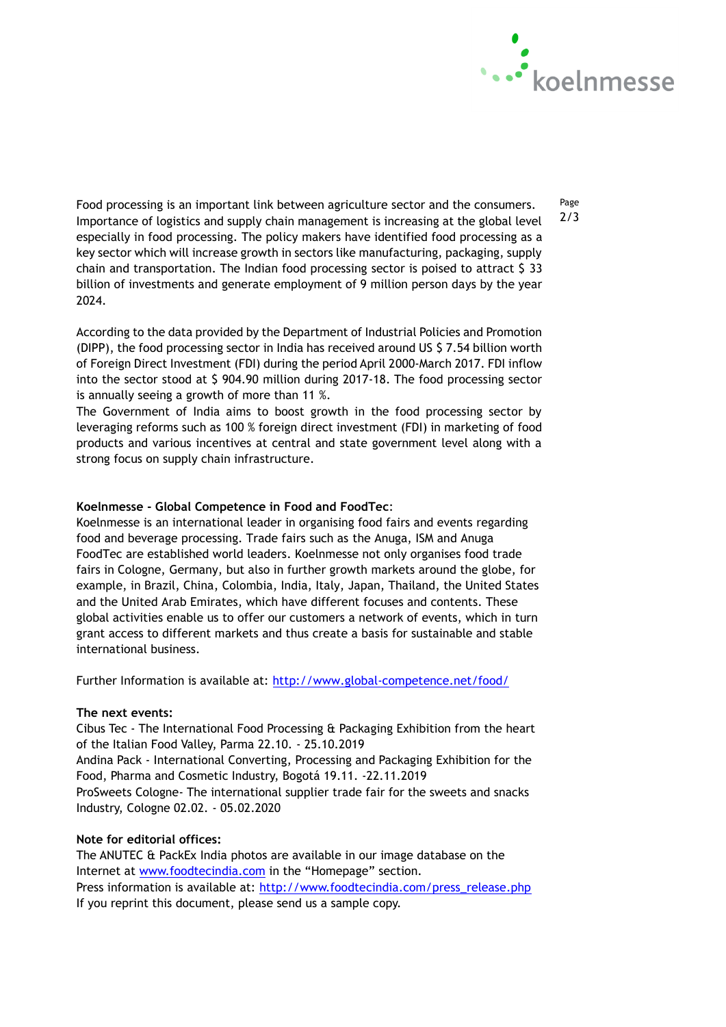

Page 2/3

Food processing is an important link between agriculture sector and the consumers. Importance of logistics and supply chain management is increasing at the global level especially in food processing. The policy makers have identified food processing as a key sector which will increase growth in sectors like manufacturing, packaging, supply chain and transportation. The Indian food processing sector is poised to attract \$ 33 billion of investments and generate employment of 9 million person days by the year 2024.

According to the data provided by the Department of Industrial Policies and Promotion (DIPP), the food processing sector in India has received around US \$ 7.54 billion worth of Foreign Direct Investment (FDI) during the period April 2000-March 2017. FDI inflow into the sector stood at \$ 904.90 million during 2017-18. The food processing sector is annually seeing a growth of more than 11 %.

The Government of India aims to boost growth in the food processing sector by leveraging reforms such as 100 % foreign direct investment (FDI) in marketing of food products and various incentives at central and state government level along with a strong focus on supply chain infrastructure.

# **Koelnmesse - Global Competence in Food and FoodTec**:

Koelnmesse is an international leader in organising food fairs and events regarding food and beverage processing. Trade fairs such as the Anuga, ISM and Anuga FoodTec are established world leaders. Koelnmesse not only organises food trade fairs in Cologne, Germany, but also in further growth markets around the globe, for example, in Brazil, China, Colombia, India, Italy, Japan, Thailand, the United States and the United Arab Emirates, which have different focuses and contents. These global activities enable us to offer our customers a network of events, which in turn grant access to different markets and thus create a basis for sustainable and stable international business.

Further Information is available at: <http://www.global-competence.net/food/>

## **The next events:**

Cibus Tec - The International Food Processing & Packaging Exhibition from the heart of the Italian Food Valley, Parma 22.10. - 25.10.2019 Andina Pack - International Converting, Processing and Packaging Exhibition for the Food, Pharma and Cosmetic Industry, Bogotá 19.11. -22.11.2019

ProSweets Cologne- The international supplier trade fair for the sweets and snacks Industry, Cologne 02.02. - 05.02.2020

## **Note for editorial offices:**

The ANUTEC & PackEx India photos are available in our image database on the Internet at [www.foodtecindia.com](http://www.foodtecindia.com/) in the "Homepage" section. Press information is available at: [http://www.foodtecindia.com/press\\_release.php](http://www.foodtecindia.com/press_release.php) If you reprint this document, please send us a sample copy.